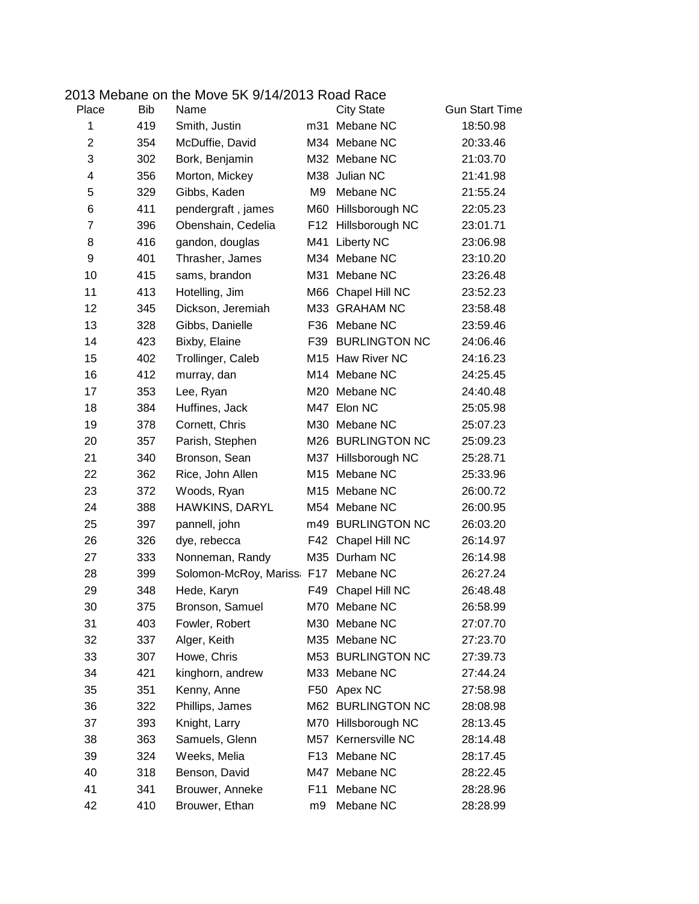| Place | <b>Bib</b> | Name                       |                 | <b>City State</b>    | <b>Gun Start Time</b> |
|-------|------------|----------------------------|-----------------|----------------------|-----------------------|
| 1     | 419        | Smith, Justin              |                 | m31 Mebane NC        | 18:50.98              |
| 2     | 354        | McDuffie, David            |                 | M34 Mebane NC        | 20:33.46              |
| 3     | 302        | Bork, Benjamin             |                 | M32 Mebane NC        | 21:03.70              |
| 4     | 356        | Morton, Mickey             |                 | M38 Julian NC        | 21:41.98              |
| 5     | 329        | Gibbs, Kaden               | M <sub>9</sub>  | Mebane NC            | 21:55.24              |
| 6     | 411        | pendergraft, james         |                 | M60 Hillsborough NC  | 22:05.23              |
| 7     | 396        | Obenshain, Cedelia         |                 | F12 Hillsborough NC  | 23:01.71              |
| 8     | 416        | gandon, douglas            | M41             | Liberty NC           | 23:06.98              |
| 9     | 401        | Thrasher, James            |                 | M34 Mebane NC        | 23:10.20              |
| 10    | 415        | sams, brandon              | M31             | Mebane NC            | 23:26.48              |
| 11    | 413        | Hotelling, Jim             |                 | M66 Chapel Hill NC   | 23:52.23              |
| 12    | 345        | Dickson, Jeremiah          |                 | M33 GRAHAM NC        | 23:58.48              |
| 13    | 328        | Gibbs, Danielle            |                 | F36 Mebane NC        | 23:59.46              |
| 14    | 423        | Bixby, Elaine              | F39             | <b>BURLINGTON NC</b> | 24:06.46              |
| 15    | 402        | Trollinger, Caleb          |                 | M15 Haw River NC     | 24:16.23              |
| 16    | 412        | murray, dan                |                 | M14 Mebane NC        | 24:25.45              |
| 17    | 353        | Lee, Ryan                  |                 | M20 Mebane NC        | 24:40.48              |
| 18    | 384        | Huffines, Jack             |                 | M47 Elon NC          | 25:05.98              |
| 19    | 378        | Cornett, Chris             |                 | M30 Mebane NC        | 25:07.23              |
| 20    | 357        | Parish, Stephen            |                 | M26 BURLINGTON NC    | 25:09.23              |
| 21    | 340        | Bronson, Sean              |                 | M37 Hillsborough NC  | 25:28.71              |
| 22    | 362        | Rice, John Allen           |                 | M15 Mebane NC        | 25:33.96              |
| 23    | 372        | Woods, Ryan                |                 | M15 Mebane NC        | 26:00.72              |
| 24    | 388        | HAWKINS, DARYL             |                 | M54 Mebane NC        | 26:00.95              |
| 25    | 397        | pannell, john              |                 | m49 BURLINGTON NC    | 26:03.20              |
| 26    | 326        | dye, rebecca               | F42             | Chapel Hill NC       | 26:14.97              |
| 27    | 333        | Nonneman, Randy            |                 | M35 Durham NC        | 26:14.98              |
| 28    | 399        | Solomon-McRoy, Mariss: F17 |                 | Mebane NC            | 26:27.24              |
| 29    | 348        | Hede, Karyn                | F49             | Chapel Hill NC       | 26:48.48              |
| 30    | 375        | Bronson, Samuel            |                 | M70 Mebane NC        | 26:58.99              |
| 31    | 403        | Fowler, Robert             |                 | M30 Mebane NC        | 27:07.70              |
| 32    | 337        | Alger, Keith               |                 | M35 Mebane NC        | 27:23.70              |
| 33    | 307        | Howe, Chris                |                 | M53 BURLINGTON NC    | 27:39.73              |
| 34    | 421        | kinghorn, andrew           |                 | M33 Mebane NC        | 27:44.24              |
| 35    | 351        | Kenny, Anne                | F50             | Apex NC              | 27:58.98              |
| 36    | 322        | Phillips, James            |                 | M62 BURLINGTON NC    | 28:08.98              |
| 37    | 393        | Knight, Larry              |                 | M70 Hillsborough NC  | 28:13.45              |
| 38    | 363        | Samuels, Glenn             |                 | M57 Kernersville NC  | 28:14.48              |
| 39    | 324        | Weeks, Melia               | F <sub>13</sub> | Mebane NC            | 28:17.45              |
| 40    | 318        | Benson, David              | M47             | Mebane NC            | 28:22.45              |
| 41    | 341        | Brouwer, Anneke            | F11             | Mebane NC            | 28:28.96              |
| 42    | 410        | Brouwer, Ethan             | m9              | Mebane NC            | 28:28.99              |

## 2013 Mebane on the Move 5K 9/14/2013 Road Race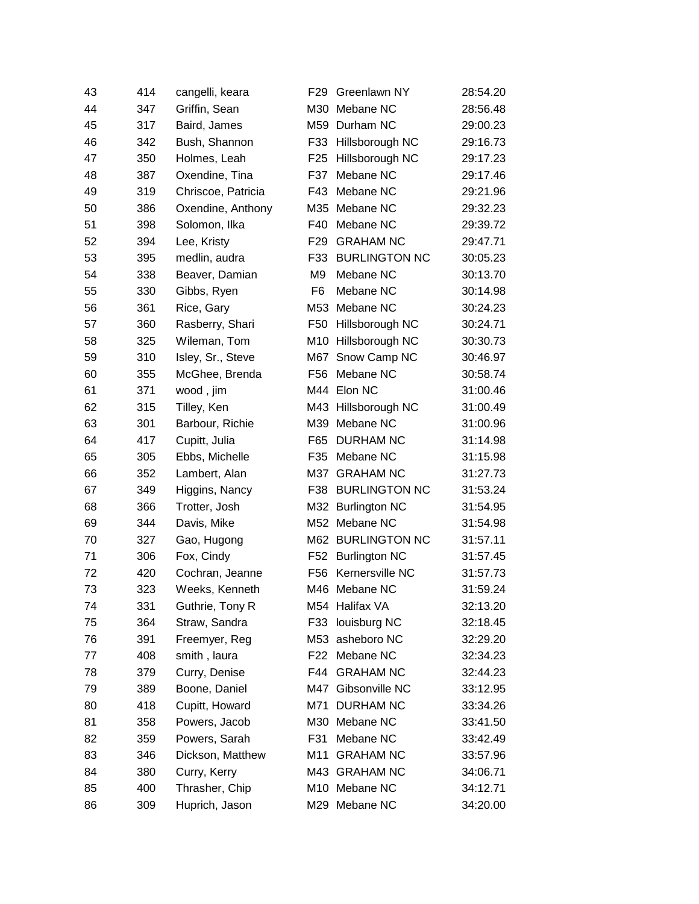| 43 | 414 | cangelli, keara    | F <sub>29</sub> | Greenlawn NY         | 28:54.20 |
|----|-----|--------------------|-----------------|----------------------|----------|
| 44 | 347 | Griffin, Sean      | M30             | Mebane NC            | 28:56.48 |
| 45 | 317 | Baird, James       |                 | M59 Durham NC        | 29:00.23 |
| 46 | 342 | Bush, Shannon      | F33             | Hillsborough NC      | 29:16.73 |
| 47 | 350 | Holmes, Leah       | F <sub>25</sub> | Hillsborough NC      | 29:17.23 |
| 48 | 387 | Oxendine, Tina     | F37             | Mebane NC            | 29:17.46 |
| 49 | 319 | Chriscoe, Patricia | F43             | Mebane NC            | 29:21.96 |
| 50 | 386 | Oxendine, Anthony  | M35             | Mebane NC            | 29:32.23 |
| 51 | 398 | Solomon, Ilka      | F40             | Mebane NC            | 29:39.72 |
| 52 | 394 | Lee, Kristy        | F <sub>29</sub> | <b>GRAHAM NC</b>     | 29:47.71 |
| 53 | 395 | medlin, audra      | F33             | <b>BURLINGTON NC</b> | 30:05.23 |
| 54 | 338 | Beaver, Damian     | M <sub>9</sub>  | Mebane NC            | 30:13.70 |
| 55 | 330 | Gibbs, Ryen        | F <sub>6</sub>  | Mebane NC            | 30:14.98 |
| 56 | 361 | Rice, Gary         | M53             | Mebane NC            | 30:24.23 |
| 57 | 360 | Rasberry, Shari    | F <sub>50</sub> | Hillsborough NC      | 30:24.71 |
| 58 | 325 | Wileman, Tom       | M10             | Hillsborough NC      | 30:30.73 |
| 59 | 310 | Isley, Sr., Steve  | M67             | Snow Camp NC         | 30:46.97 |
| 60 | 355 | McGhee, Brenda     | F56             | Mebane NC            | 30:58.74 |
| 61 | 371 | wood, jim          |                 | M44 Elon NC          | 31:00.46 |
| 62 | 315 | Tilley, Ken        |                 | M43 Hillsborough NC  | 31:00.49 |
| 63 | 301 | Barbour, Richie    | M39             | Mebane NC            | 31:00.96 |
| 64 | 417 | Cupitt, Julia      | F65             | <b>DURHAM NC</b>     | 31:14.98 |
| 65 | 305 | Ebbs, Michelle     | F35             | Mebane NC            | 31:15.98 |
| 66 | 352 | Lambert, Alan      | M37             | <b>GRAHAM NC</b>     | 31:27.73 |
| 67 | 349 | Higgins, Nancy     | F38             | <b>BURLINGTON NC</b> | 31:53.24 |
| 68 | 366 | Trotter, Josh      |                 | M32 Burlington NC    | 31:54.95 |
| 69 | 344 | Davis, Mike        |                 | M52 Mebane NC        | 31:54.98 |
| 70 | 327 | Gao, Hugong        | M62             | <b>BURLINGTON NC</b> | 31:57.11 |
| 71 | 306 | Fox, Cindy         | F <sub>52</sub> | <b>Burlington NC</b> | 31:57.45 |
| 72 | 420 | Cochran, Jeanne    | F <sub>56</sub> | Kernersville NC      | 31:57.73 |
| 73 | 323 | Weeks, Kenneth     |                 | M46 Mebane NC        | 31:59.24 |
| 74 | 331 | Guthrie, Tony R    |                 | M54 Halifax VA       | 32:13.20 |
| 75 | 364 | Straw, Sandra      | F33             | louisburg NC         | 32:18.45 |
| 76 | 391 | Freemyer, Reg      | M53             | asheboro NC          | 32:29.20 |
| 77 | 408 | smith, laura       | F <sub>22</sub> | Mebane NC            | 32:34.23 |
| 78 | 379 | Curry, Denise      | F44             | <b>GRAHAM NC</b>     | 32:44.23 |
| 79 | 389 | Boone, Daniel      | M47             | Gibsonville NC       | 33:12.95 |
| 80 | 418 | Cupitt, Howard     | M71             | <b>DURHAM NC</b>     | 33:34.26 |
| 81 | 358 | Powers, Jacob      | M30             | Mebane NC            | 33:41.50 |
| 82 | 359 | Powers, Sarah      | F31             | Mebane NC            | 33:42.49 |
| 83 | 346 | Dickson, Matthew   | M11             | <b>GRAHAM NC</b>     | 33:57.96 |
| 84 | 380 | Curry, Kerry       | M43             | <b>GRAHAM NC</b>     | 34:06.71 |
| 85 | 400 | Thrasher, Chip     | M10             | Mebane NC            | 34:12.71 |
| 86 | 309 | Huprich, Jason     |                 | M29 Mebane NC        | 34:20.00 |
|    |     |                    |                 |                      |          |